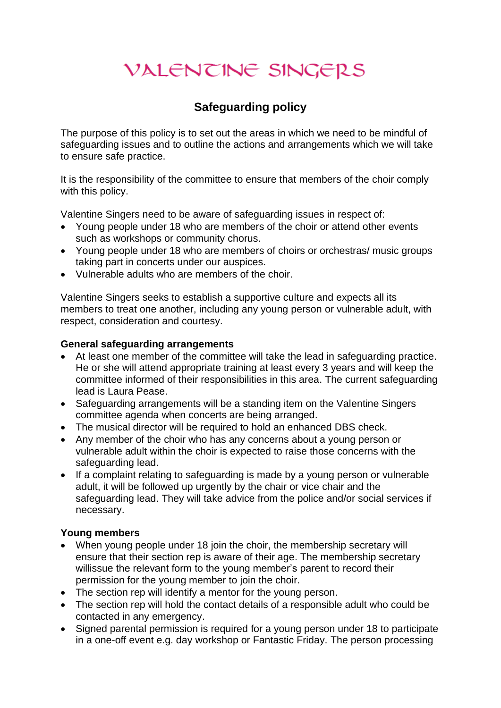# VALENTINE SINGERS

# **Safeguarding policy**

The purpose of this policy is to set out the areas in which we need to be mindful of safeguarding issues and to outline the actions and arrangements which we will take to ensure safe practice.

It is the responsibility of the committee to ensure that members of the choir comply with this policy.

Valentine Singers need to be aware of safeguarding issues in respect of:

- Young people under 18 who are members of the choir or attend other events such as workshops or community chorus.
- Young people under 18 who are members of choirs or orchestras/ music groups taking part in concerts under our auspices.
- Vulnerable adults who are members of the choir.

Valentine Singers seeks to establish a supportive culture and expects all its members to treat one another, including any young person or vulnerable adult, with respect, consideration and courtesy.

#### **General safeguarding arrangements**

- At least one member of the committee will take the lead in safeguarding practice. He or she will attend appropriate training at least every 3 years and will keep the committee informed of their responsibilities in this area. The current safeguarding lead is Laura Pease.
- Safeguarding arrangements will be a standing item on the Valentine Singers committee agenda when concerts are being arranged.
- The musical director will be required to hold an enhanced DBS check.
- Any member of the choir who has any concerns about a young person or vulnerable adult within the choir is expected to raise those concerns with the safeguarding lead.
- If a complaint relating to safeguarding is made by a young person or vulnerable adult, it will be followed up urgently by the chair or vice chair and the safeguarding lead. They will take advice from the police and/or social services if necessary.

#### **Young members**

- When young people under 18 join the choir, the membership secretary will ensure that their section rep is aware of their age. The membership secretary willissue the relevant form to the young member's parent to record their permission for the young member to join the choir.
- The section rep will identify a mentor for the young person.
- The section rep will hold the contact details of a responsible adult who could be contacted in any emergency.
- Signed parental permission is required for a young person under 18 to participate in a one-off event e.g. day workshop or Fantastic Friday. The person processing